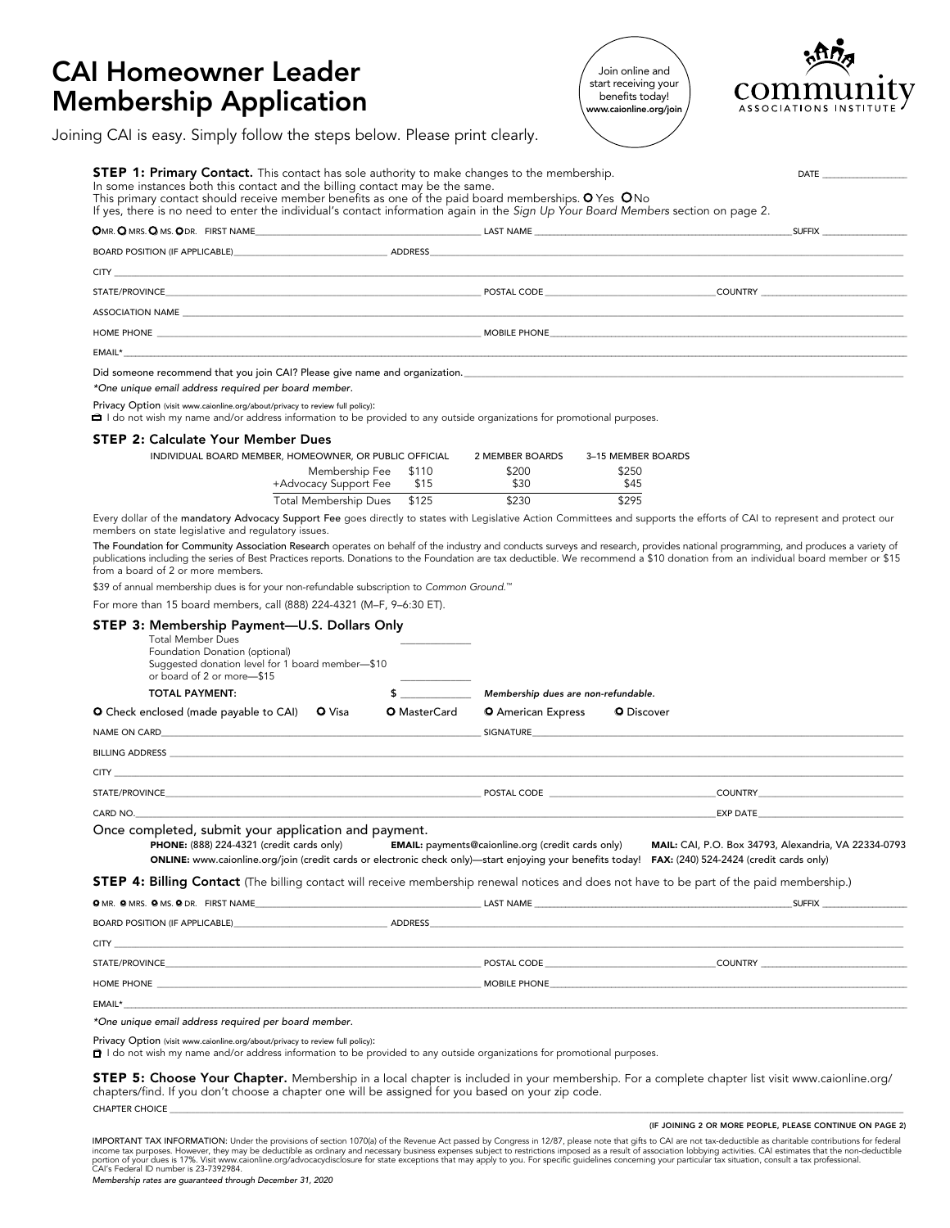## CAI Homeowner Leader Membership Application

Join online and start receiving your benefits today! www.caionline.org/join



| <b>STEP 1: Primary Contact.</b> This contact has sole authority to make changes to the membership.<br>In some instances both this contact and the billing contact may be the same.<br>This primary contact should receive member benefits as one of the paid board memberships. O Yes ONo<br>If yes, there is no need to enter the individual's contact information again in the Sign Up Your Board Members section on page 2.                                                                                                                                  |                     |                                                          |                             | <b>DATE</b>                                                                                                   |
|-----------------------------------------------------------------------------------------------------------------------------------------------------------------------------------------------------------------------------------------------------------------------------------------------------------------------------------------------------------------------------------------------------------------------------------------------------------------------------------------------------------------------------------------------------------------|---------------------|----------------------------------------------------------|-----------------------------|---------------------------------------------------------------------------------------------------------------|
| OMR. OMRS. OMS. ODR. FIRST NAME                                                                                                                                                                                                                                                                                                                                                                                                                                                                                                                                 |                     |                                                          |                             | <b>SUFFIX Example 2018</b>                                                                                    |
| BOARD POSITION (IF APPLICABLE) And the contract of a series and approximation of the contract of the contract of the contract of the contract of the contract of the contract of the contract of the contract of the contract                                                                                                                                                                                                                                                                                                                                   |                     |                                                          |                             |                                                                                                               |
| <b>CITY</b>                                                                                                                                                                                                                                                                                                                                                                                                                                                                                                                                                     |                     |                                                          |                             |                                                                                                               |
| STATE/PROVINCE CONTRY CONTROL CONTROL CONTROL POSTAL CODE CONTROL COUNTRY COUNTRY CONTROL COUNTRY                                                                                                                                                                                                                                                                                                                                                                                                                                                               |                     |                                                          |                             |                                                                                                               |
|                                                                                                                                                                                                                                                                                                                                                                                                                                                                                                                                                                 |                     |                                                          |                             |                                                                                                               |
|                                                                                                                                                                                                                                                                                                                                                                                                                                                                                                                                                                 |                     |                                                          |                             |                                                                                                               |
| $EMAIL*$                                                                                                                                                                                                                                                                                                                                                                                                                                                                                                                                                        |                     |                                                          |                             |                                                                                                               |
| *One unique email address required per board member.<br>Privacy Option (visit www.caionline.org/about/privacy to review full policy):                                                                                                                                                                                                                                                                                                                                                                                                                           |                     |                                                          |                             |                                                                                                               |
| □ I do not wish my name and/or address information to be provided to any outside organizations for promotional purposes.                                                                                                                                                                                                                                                                                                                                                                                                                                        |                     |                                                          |                             |                                                                                                               |
| <b>STEP 2: Calculate Your Member Dues</b>                                                                                                                                                                                                                                                                                                                                                                                                                                                                                                                       |                     |                                                          |                             |                                                                                                               |
| INDIVIDUAL BOARD MEMBER, HOMEOWNER, OR PUBLIC OFFICIAL<br>Membership Fee                                                                                                                                                                                                                                                                                                                                                                                                                                                                                        | \$110               | 2 MEMBER BOARDS<br>\$200                                 | 3-15 MEMBER BOARDS<br>\$250 |                                                                                                               |
| +Advocacy Support Fee                                                                                                                                                                                                                                                                                                                                                                                                                                                                                                                                           | \$15                | \$30                                                     | \$45                        |                                                                                                               |
| Total Membership Dues \$125<br>Every dollar of the mandatory Advocacy Support Fee goes directly to states with Legislative Action Committees and supports the efforts of CAI to represent and protect our                                                                                                                                                                                                                                                                                                                                                       |                     | \$230                                                    | \$295                       |                                                                                                               |
| members on state legislative and regulatory issues.<br>The Foundation for Community Association Research operates on behalf of the industry and conducts surveys and research, provides national programming, and produces a variety of<br>publications including the series of Best Practices reports. Donations to the Foundation are tax deductible. We recommend a \$10 donation from an individual board member or \$15<br>from a board of 2 or more members.<br>\$39 of annual membership dues is for your non-refundable subscription to Common Ground.™ |                     |                                                          |                             |                                                                                                               |
| For more than 15 board members, call (888) 224-4321 (M-F, 9-6:30 ET).                                                                                                                                                                                                                                                                                                                                                                                                                                                                                           |                     |                                                          |                             |                                                                                                               |
| <b>Total Member Dues</b><br>Foundation Donation (optional)<br>Suggested donation level for 1 board member-\$10<br>or board of 2 or more-\$15                                                                                                                                                                                                                                                                                                                                                                                                                    |                     |                                                          |                             |                                                                                                               |
| <b>TOTAL PAYMENT:</b>                                                                                                                                                                                                                                                                                                                                                                                                                                                                                                                                           | $\sim$              | Membership dues are non-refundable.                      |                             |                                                                                                               |
| <b>O</b> Check enclosed (made payable to CAI) <b>O</b> Visa                                                                                                                                                                                                                                                                                                                                                                                                                                                                                                     | <b>O</b> MasterCard | <b>O</b> American Express                                | <b>Q</b> Discover           |                                                                                                               |
| NAME ON CARD SIGNATURE SIGNATURE SIGNATURE                                                                                                                                                                                                                                                                                                                                                                                                                                                                                                                      |                     |                                                          |                             |                                                                                                               |
| <b>BILLING ADDRESS</b>                                                                                                                                                                                                                                                                                                                                                                                                                                                                                                                                          |                     |                                                          |                             |                                                                                                               |
| <b>CITY</b><br><u> 1980 - Johann Stoff, deutscher Stoff, der Stoff, der Stoff, der Stoff, der Stoff, der Stoff, der Stoff, der S</u>                                                                                                                                                                                                                                                                                                                                                                                                                            |                     |                                                          |                             |                                                                                                               |
| STATE/PROVINCE STATE/PROVINCE STATE AND THE STATE OF STALE CODE STATE OF STALE CODE                                                                                                                                                                                                                                                                                                                                                                                                                                                                             |                     |                                                          |                             | <b>COUNTRY COUNTRY</b>                                                                                        |
| CARD NO. <b>Example 20</b> Section 20 and 20 Section 20 and 20 Section 20 and 20 Section 20 and 20 Section 20 and 20 Section 20 and 20 Section 20 and 20 Section 20 and 20 Section 20 and 20 Section 20 and 20 Section 20 and 20 Se                                                                                                                                                                                                                                                                                                                             |                     |                                                          |                             | EXP DATE THE STATE OF THE STATE OF THE STATE OF THE STATE OF THE STATE OF THE STATE OF THE STATE OF THE STATE |
|                                                                                                                                                                                                                                                                                                                                                                                                                                                                                                                                                                 |                     | <b>EMAIL:</b> payments@caionline.org (credit cards only) |                             | MAIL: CAI, P.O. Box 34793, Alexandria, VA 22334-0793                                                          |
| Once completed, submit your application and payment.<br>PHONE: (888) 224-4321 (credit cards only)<br>ONLINE: www.caionline.org/join (credit cards or electronic check only)—start enjoying your benefits today! FAX: (240) 524-2424 (credit cards only)                                                                                                                                                                                                                                                                                                         |                     |                                                          |                             |                                                                                                               |
|                                                                                                                                                                                                                                                                                                                                                                                                                                                                                                                                                                 |                     |                                                          |                             |                                                                                                               |
|                                                                                                                                                                                                                                                                                                                                                                                                                                                                                                                                                                 |                     |                                                          |                             |                                                                                                               |
| <b>STEP 4: Billing Contact</b> (The billing contact will receive membership renewal notices and does not have to be part of the paid membership.)<br>BOARD POSITION (IF APPLICABLE) ADDRESS AND ADDRESS                                                                                                                                                                                                                                                                                                                                                         |                     |                                                          |                             |                                                                                                               |
|                                                                                                                                                                                                                                                                                                                                                                                                                                                                                                                                                                 |                     |                                                          |                             |                                                                                                               |
|                                                                                                                                                                                                                                                                                                                                                                                                                                                                                                                                                                 |                     |                                                          |                             |                                                                                                               |
| $CITY$ and $CITY$ are all the contract of the contract of the contract of the contract of the contract of the contract of the contract of the contract of the contract of the contract of the contract of the contract of the con<br>HOME PHONE THE STATE OF THE STATE OF THE STATE OF THE STATE OF THE STATE OF THE STATE OF THE STATE OF THE STATE OF THE STATE OF THE STATE OF THE STATE OF THE STATE OF THE STATE OF THE STATE OF THE STATE OF THE STATE OF THE                                                                                             |                     |                                                          |                             |                                                                                                               |
|                                                                                                                                                                                                                                                                                                                                                                                                                                                                                                                                                                 |                     |                                                          |                             |                                                                                                               |
| EMAIL*<br>*One unique email address required per board member.                                                                                                                                                                                                                                                                                                                                                                                                                                                                                                  |                     |                                                          |                             |                                                                                                               |

chapters/find. If you don't choose a chapter one will be assigned for you based on your zip code.

CHAPTER CHOICE \_\_\_\_\_\_\_\_\_\_\_\_\_\_\_\_\_\_\_\_\_\_\_\_\_\_\_\_\_\_\_\_\_\_\_\_\_\_\_\_\_\_\_\_\_\_\_\_\_\_\_\_\_\_\_\_\_\_\_\_\_\_\_\_\_\_\_\_\_\_\_\_\_\_\_\_\_\_\_\_\_\_\_\_\_\_\_\_\_\_\_\_\_\_\_\_\_\_\_\_\_\_\_\_\_\_\_\_\_\_\_\_\_\_\_\_\_\_\_\_\_\_\_\_\_\_\_\_\_\_\_\_\_\_\_\_\_\_\_\_\_\_\_\_\_\_\_\_\_\_\_\_\_\_\_\_\_\_\_\_\_\_\_\_\_\_\_\_\_\_\_\_

## (IF JOINING 2 OR MORE PEOPLE, PLEASE CONTINUE ON PAGE 2)

IMPORTANT TAX INFORMATION: Under the provisions of section 1070(a) of the Revenue Act passed by Congress in 12/87, please note that gifts to CAI are not tax-deductible as character in 1970(a) of the Revenue Act are structi